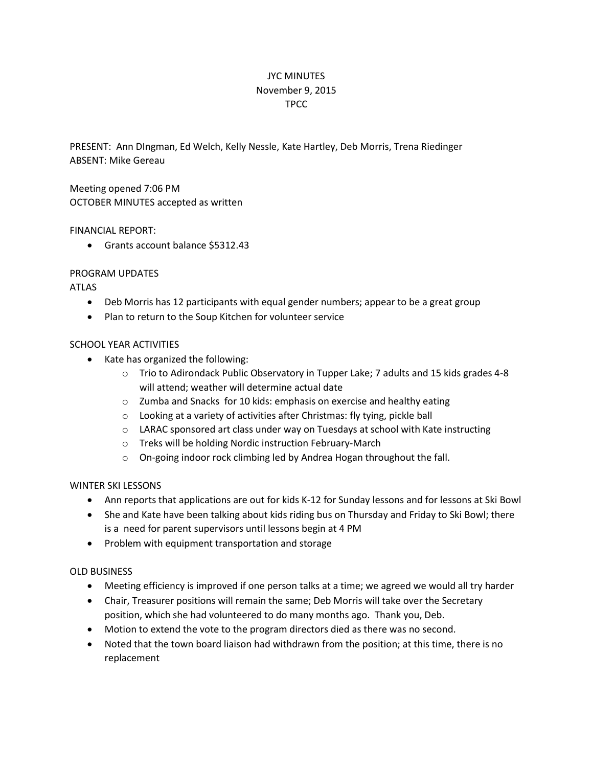# JYC MINUTES November 9, 2015 TPCC

PRESENT: Ann DIngman, Ed Welch, Kelly Nessle, Kate Hartley, Deb Morris, Trena Riedinger ABSENT: Mike Gereau

Meeting opened 7:06 PM OCTOBER MINUTES accepted as written

### FINANCIAL REPORT:

Grants account balance \$5312.43

## PROGRAM UPDATES

## ATLAS

- Deb Morris has 12 participants with equal gender numbers; appear to be a great group
- Plan to return to the Soup Kitchen for volunteer service

### SCHOOL YEAR ACTIVITIES

- Kate has organized the following:
	- $\circ$  Trio to Adirondack Public Observatory in Tupper Lake; 7 adults and 15 kids grades 4-8 will attend; weather will determine actual date
	- o Zumba and Snacks for 10 kids: emphasis on exercise and healthy eating
	- o Looking at a variety of activities after Christmas: fly tying, pickle ball
	- o LARAC sponsored art class under way on Tuesdays at school with Kate instructing
	- o Treks will be holding Nordic instruction February-March
	- o On-going indoor rock climbing led by Andrea Hogan throughout the fall.

## WINTER SKI LESSONS

- Ann reports that applications are out for kids K-12 for Sunday lessons and for lessons at Ski Bowl
- She and Kate have been talking about kids riding bus on Thursday and Friday to Ski Bowl; there is a need for parent supervisors until lessons begin at 4 PM
- Problem with equipment transportation and storage

## OLD BUSINESS

- Meeting efficiency is improved if one person talks at a time; we agreed we would all try harder
- Chair, Treasurer positions will remain the same; Deb Morris will take over the Secretary position, which she had volunteered to do many months ago. Thank you, Deb.
- Motion to extend the vote to the program directors died as there was no second.
- Noted that the town board liaison had withdrawn from the position; at this time, there is no replacement